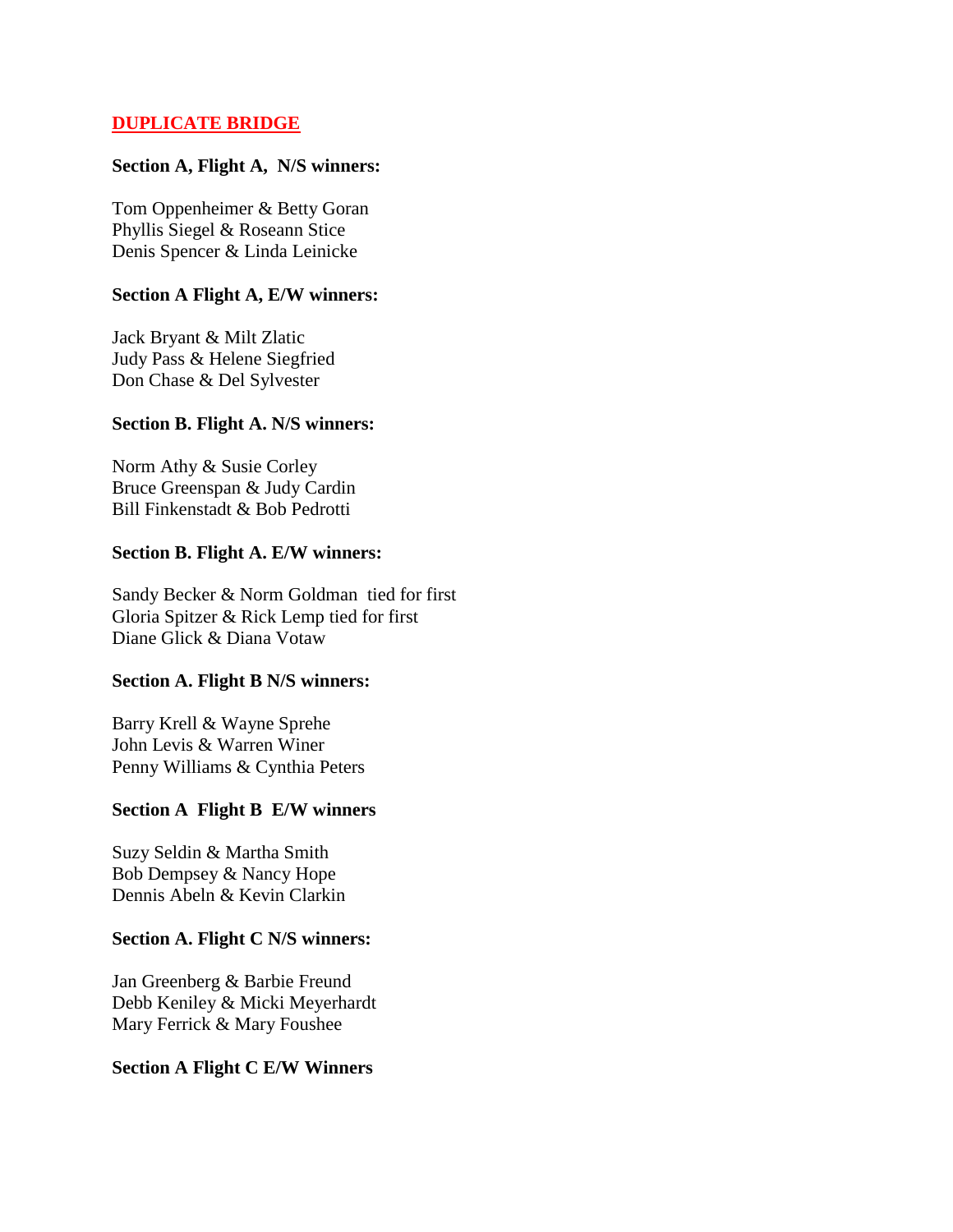## **DUPLICATE BRIDGE**

#### **Section A, Flight A, N/S winners:**

Tom Oppenheimer & Betty Goran Phyllis Siegel & Roseann Stice Denis Spencer & Linda Leinicke

#### **Section A Flight A, E/W winners:**

Jack Bryant & Milt Zlatic Judy Pass & Helene Siegfried Don Chase & Del Sylvester

#### **Section B. Flight A. N/S winners:**

Norm Athy & Susie Corley Bruce Greenspan & Judy Cardin Bill Finkenstadt & Bob Pedrotti

#### **Section B. Flight A. E/W winners:**

Sandy Becker & Norm Goldman tied for first Gloria Spitzer & Rick Lemp tied for first Diane Glick & Diana Votaw

#### **Section A. Flight B N/S winners:**

Barry Krell & Wayne Sprehe John Levis & Warren Winer Penny Williams & Cynthia Peters

### **Section A Flight B E/W winners**

Suzy Seldin & Martha Smith Bob Dempsey & Nancy Hope Dennis Abeln & Kevin Clarkin

#### **Section A. Flight C N/S winners:**

Jan Greenberg & Barbie Freund Debb Keniley & Micki Meyerhardt Mary Ferrick & Mary Foushee

### **Section A Flight C E/W Winners**